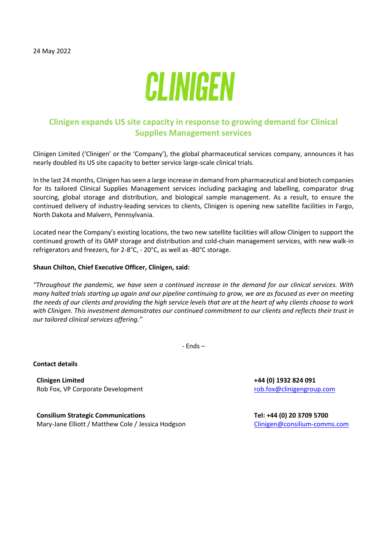

## **Clinigen expands US site capacity in response to growing demand for Clinical Supplies Management services**

Clinigen Limited ('Clinigen' or the 'Company'), the global pharmaceutical services company, announces it has nearly doubled its US site capacity to better service large-scale clinical trials.

In the last 24 months, Clinigen has seen a large increase in demand from pharmaceutical and biotech companies for its tailored Clinical Supplies Management services including packaging and labelling, comparator drug sourcing, global storage and distribution, and biological sample management. As a result, to ensure the continued delivery of industry-leading services to clients, Clinigen is opening new satellite facilities in Fargo, North Dakota and Malvern, Pennsylvania.

Located near the Company's existing locations, the two new satellite facilities will allow Clinigen to support the continued growth of its GMP storage and distribution and cold-chain management services, with new walk-in refrigerators and freezers, for 2-8°C, - 20°C, as well as -80°C storage.

## **Shaun Chilton, Chief Executive Officer, Clinigen, said:**

*"Throughout the pandemic, we have seen a continued increase in the demand for our clinical services. With many halted trials starting up again and our pipeline continuing to grow, we are as focused as ever on meeting the needs of our clients and providing the high service levels that are at the heart of why clients choose to work with Clinigen. This investment demonstrates our continued commitment to our clients and reflects their trust in our tailored clinical services offering."*

- Ends –

**Contact details**

**Clinigen Limited +44 (0) 1932 824 091** Rob Fox, VP Corporate Development and [rob.fox@clinigengroup.com](mailto:rob.fox@clinigengroup.com)

**Consilium Strategic Communications** Mary-Jane Elliott / Matthew Cole / Jessica Hodgson

**Tel: +44 (0) 20 3709 5700** [Clinigen@consilium-comms.com](mailto:Clinigen@consilium-comms.com)